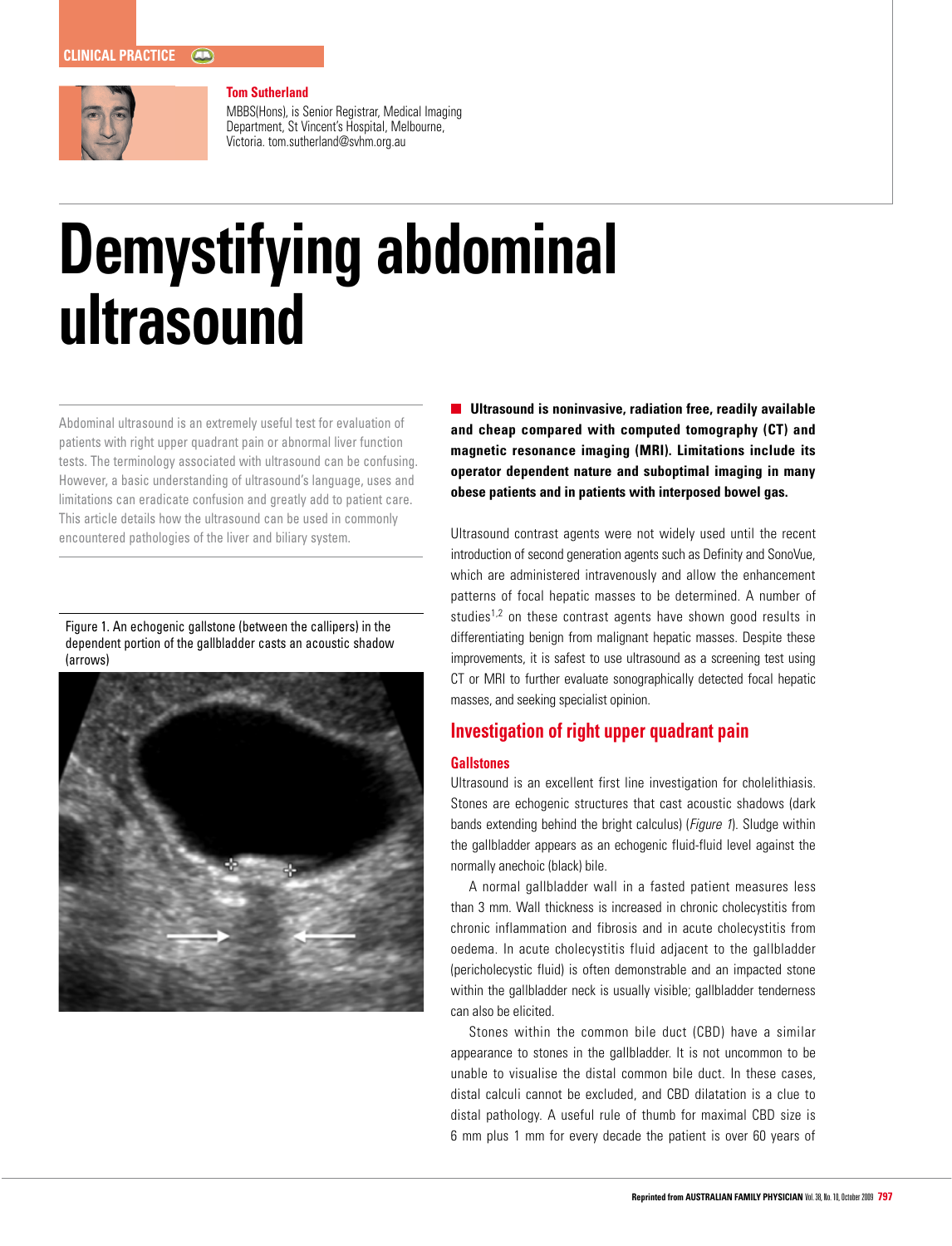



MBBS(Hons), is Senior Registrar, Medical Imaging Department, St Vincent's Hospital, Melbourne, Victoria. tom.sutherland@svhm.org.au

# **Demystifying abdominal ultrasound**

Abdominal ultrasound is an extremely useful test for evaluation of patients with right upper quadrant pain or abnormal liver function tests. The terminology associated with ultrasound can be confusing. However, a basic understanding of ultrasound's language, uses and limitations can eradicate confusion and greatly add to patient care. This article details how the ultrasound can be used in commonly encountered pathologies of the liver and biliary system.

Figure 1. An echogenic gallstone (between the callipers) in the dependent portion of the gallbladder casts an acoustic shadow (arrows)



**Ultrasound is noninvasive, radiation free, readily available and cheap compared with computed tomography (CT) and magnetic resonance imaging (MRI). Limitations include its operator dependent nature and suboptimal imaging in many obese patients and in patients with interposed bowel gas.** 

Ultrasound contrast agents were not widely used until the recent introduction of second generation agents such as Definity and SonoVue, which are administered intravenously and allow the enhancement patterns of focal hepatic masses to be determined. A number of studies<sup>1,2</sup> on these contrast agents have shown good results in differentiating benign from malignant hepatic masses. Despite these improvements, it is safest to use ultrasound as a screening test using CT or MRI to further evaluate sonographically detected focal hepatic masses, and seeking specialist opinion.

# **Investigation of right upper quadrant pain**

### **Gallstones**

Ultrasound is an excellent first line investigation for cholelithiasis. Stones are echogenic structures that cast acoustic shadows (dark bands extending behind the bright calculus) (*Figure 1*). Sludge within the gallbladder appears as an echogenic fluid-fluid level against the normally anechoic (black) bile.

A normal gallbladder wall in a fasted patient measures less than 3 mm. Wall thickness is increased in chronic cholecystitis from chronic inflammation and fibrosis and in acute cholecystitis from oedema. In acute cholecystitis fluid adjacent to the gallbladder (pericholecystic fluid) is often demonstrable and an impacted stone within the gallbladder neck is usually visible; gallbladder tenderness can also be elicited.

Stones within the common bile duct (CBD) have a similar appearance to stones in the gallbladder. It is not uncommon to be unable to visualise the distal common bile duct. In these cases, distal calculi cannot be excluded, and CBD dilatation is a clue to distal pathology. A useful rule of thumb for maximal CBD size is 6 mm plus 1 mm for every decade the patient is over 60 years of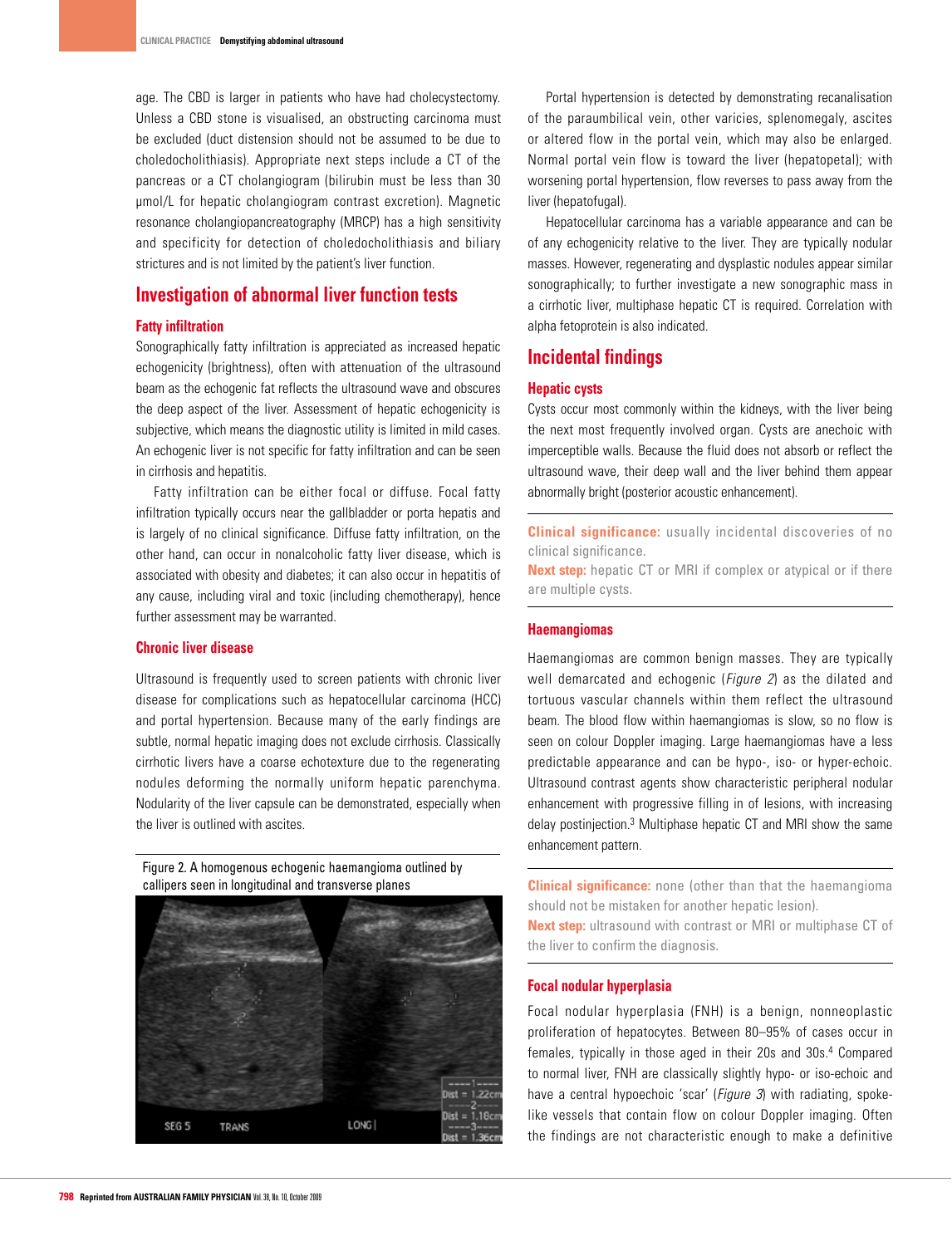age. The CBD is larger in patients who have had cholecystectomy. Unless a CBD stone is visualised, an obstructing carcinoma must be excluded (duct distension should not be assumed to be due to choledocholithiasis). Appropriate next steps include a CT of the pancreas or a CT cholangiogram (bilirubin must be less than 30 µmol/L for hepatic cholangiogram contrast excretion). Magnetic resonance cholangiopancreatography (MRCP) has a high sensitivity and specificity for detection of choledocholithiasis and biliary strictures and is not limited by the patient's liver function.

## **Investigation of abnormal liver function tests**

### **Fatty infiltration**

Sonographically fatty infiltration is appreciated as increased hepatic echogenicity (brightness), often with attenuation of the ultrasound beam as the echogenic fat reflects the ultrasound wave and obscures the deep aspect of the liver. Assessment of hepatic echogenicity is subjective, which means the diagnostic utility is limited in mild cases. An echogenic liver is not specific for fatty infiltration and can be seen in cirrhosis and hepatitis.

Fatty infiltration can be either focal or diffuse. Focal fatty infiltration typically occurs near the gallbladder or porta hepatis and is largely of no clinical significance. Diffuse fatty infiltration, on the other hand, can occur in nonalcoholic fatty liver disease, which is associated with obesity and diabetes; it can also occur in hepatitis of any cause, including viral and toxic (including chemotherapy), hence further assessment may be warranted.

#### **Chronic liver disease**

Ultrasound is frequently used to screen patients with chronic liver disease for complications such as hepatocellular carcinoma (HCC) and portal hypertension. Because many of the early findings are subtle, normal hepatic imaging does not exclude cirrhosis. Classically cirrhotic livers have a coarse echotexture due to the regenerating nodules deforming the normally uniform hepatic parenchyma. Nodularity of the liver capsule can be demonstrated, especially when the liver is outlined with ascites.

Figure 2. A homogenous echogenic haemangioma outlined by callipers seen in longitudinal and transverse planes



Portal hypertension is detected by demonstrating recanalisation of the paraumbilical vein, other varicies, splenomegaly, ascites or altered flow in the portal vein, which may also be enlarged. Normal portal vein flow is toward the liver (hepatopetal); with worsening portal hypertension, flow reverses to pass away from the liver (hepatofugal).

Hepatocellular carcinoma has a variable appearance and can be of any echogenicity relative to the liver. They are typically nodular masses. However, regenerating and dysplastic nodules appear similar sonographically; to further investigate a new sonographic mass in a cirrhotic liver, multiphase hepatic CT is required. Correlation with alpha fetoprotein is also indicated.

## **Incidental findings**

#### **Hepatic cysts**

Cysts occur most commonly within the kidneys, with the liver being the next most frequently involved organ. Cysts are anechoic with imperceptible walls. Because the fluid does not absorb or reflect the ultrasound wave, their deep wall and the liver behind them appear abnormally bright (posterior acoustic enhancement).

**Clinical significance:** usually incidental discoveries of no clinical significance.

**Next step:** hepatic CT or MRI if complex or atypical or if there are multiple cysts.

#### **Haemangiomas**

Haemangiomas are common benign masses. They are typically well demarcated and echogenic (Figure 2) as the dilated and tortuous vascular channels within them reflect the ultrasound beam. The blood flow within haemangiomas is slow, so no flow is seen on colour Doppler imaging. Large haemangiomas have a less predictable appearance and can be hypo-, iso- or hyper-echoic. Ultrasound contrast agents show characteristic peripheral nodular enhancement with progressive filling in of lesions, with increasing delay postinjection.<sup>3</sup> Multiphase hepatic CT and MRI show the same enhancement pattern.

**Clinical significance:** none (other than that the haemangioma should not be mistaken for another hepatic lesion).

**Next step:** ultrasound with contrast or MRI or multiphase CT of the liver to confirm the diagnosis.

#### **Focal nodular hyperplasia**

Focal nodular hyperplasia (FNH) is a benign, nonneoplastic proliferation of hepatocytes. Between 80–95% of cases occur in females, typically in those aged in their 20s and 30s.4 Compared to normal liver, FNH are classically slightly hypo- or iso-echoic and have a central hypoechoic 'scar' (*Figure 3*) with radiating, spokelike vessels that contain flow on colour Doppler imaging. Often the findings are not characteristic enough to make a definitive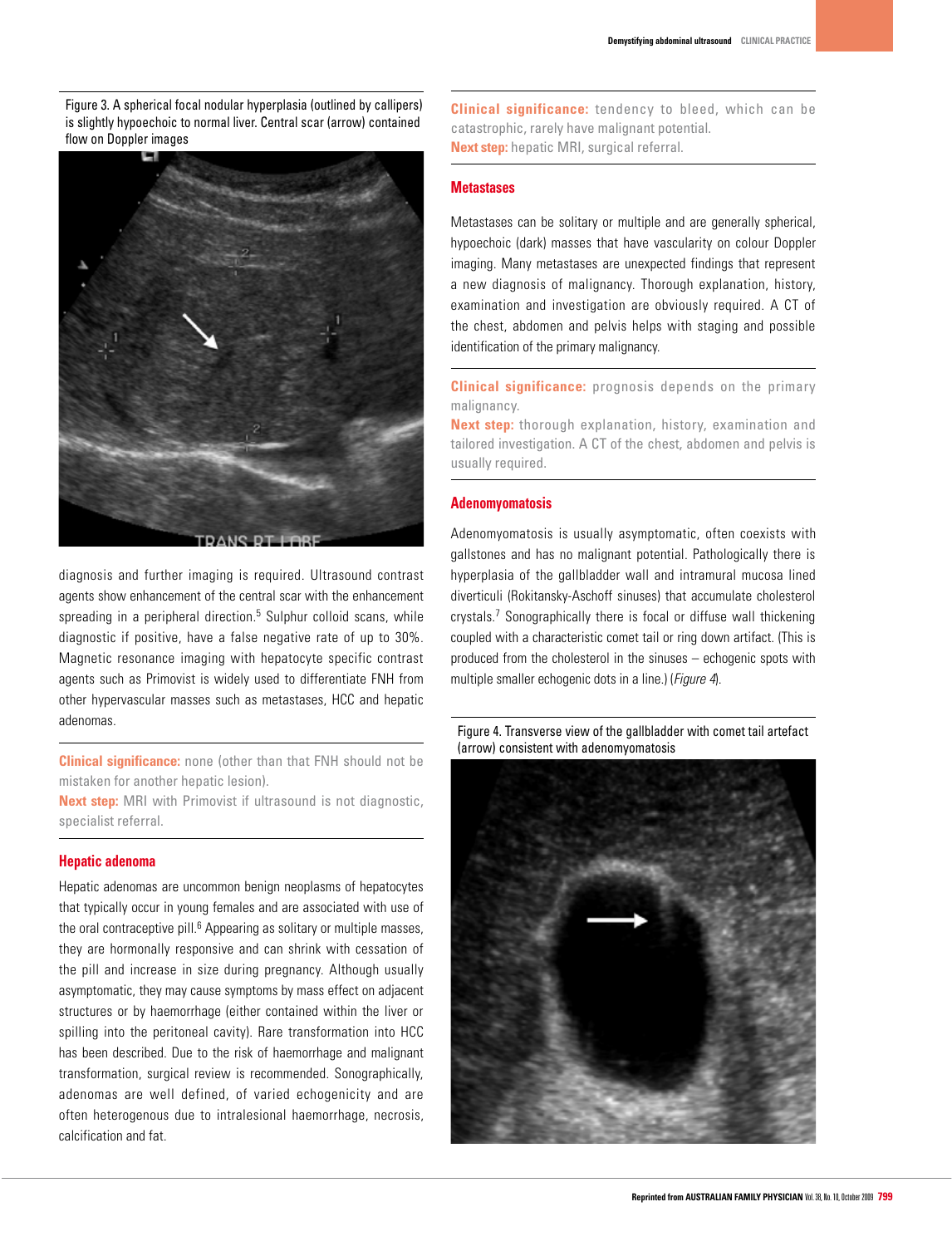Figure 3. A spherical focal nodular hyperplasia (outlined by callipers) is slightly hypoechoic to normal liver. Central scar (arrow) contained flow on Doppler images



diagnosis and further imaging is required. Ultrasound contrast agents show enhancement of the central scar with the enhancement spreading in a peripheral direction.<sup>5</sup> Sulphur colloid scans, while diagnostic if positive, have a false negative rate of up to 30%. Magnetic resonance imaging with hepatocyte specific contrast agents such as Primovist is widely used to differentiate FNH from other hypervascular masses such as metastases, HCC and hepatic adenomas.

**Clinical significance:** none (other than that FNH should not be mistaken for another hepatic lesion).

**Next step:** MRI with Primovist if ultrasound is not diagnostic, specialist referral.

#### **Hepatic adenoma**

Hepatic adenomas are uncommon benign neoplasms of hepatocytes that typically occur in young females and are associated with use of the oral contraceptive pill.<sup>6</sup> Appearing as solitary or multiple masses, they are hormonally responsive and can shrink with cessation of the pill and increase in size during pregnancy. Although usually asymptomatic, they may cause symptoms by mass effect on adjacent structures or by haemorrhage (either contained within the liver or spilling into the peritoneal cavity). Rare transformation into HCC has been described. Due to the risk of haemorrhage and malignant transformation, surgical review is recommended. Sonographically, adenomas are well defined, of varied echogenicity and are often heterogenous due to intralesional haemorrhage, necrosis, calcification and fat.

**Clinical significance:** tendency to bleed, which can be catastrophic, rarely have malignant potential. **Next step:** hepatic MRI, surgical referral.

#### **Metastases**

Metastases can be solitary or multiple and are generally spherical, hypoechoic (dark) masses that have vascularity on colour Doppler imaging. Many metastases are unexpected findings that represent a new diagnosis of malignancy. Thorough explanation, history, examination and investigation are obviously required. A CT of the chest, abdomen and pelvis helps with staging and possible identification of the primary malignancy.

**Clinical significance:** prognosis depends on the primary malignancy.

**Next step:** thorough explanation, history, examination and tailored investigation. A CT of the chest, abdomen and pelvis is usually required.

#### **Adenomyomatosis**

Adenomyomatosis is usually asymptomatic, often coexists with gallstones and has no malignant potential. Pathologically there is hyperplasia of the gallbladder wall and intramural mucosa lined diverticuli (Rokitansky-Aschoff sinuses) that accumulate cholesterol crystals.7 Sonographically there is focal or diffuse wall thickening coupled with a characteristic comet tail or ring down artifact. (This is produced from the cholesterol in the sinuses – echogenic spots with multiple smaller echogenic dots in a line.) (*Figure 4*).

Figure 4. Transverse view of the gallbladder with comet tail artefact (arrow) consistent with adenomyomatosis